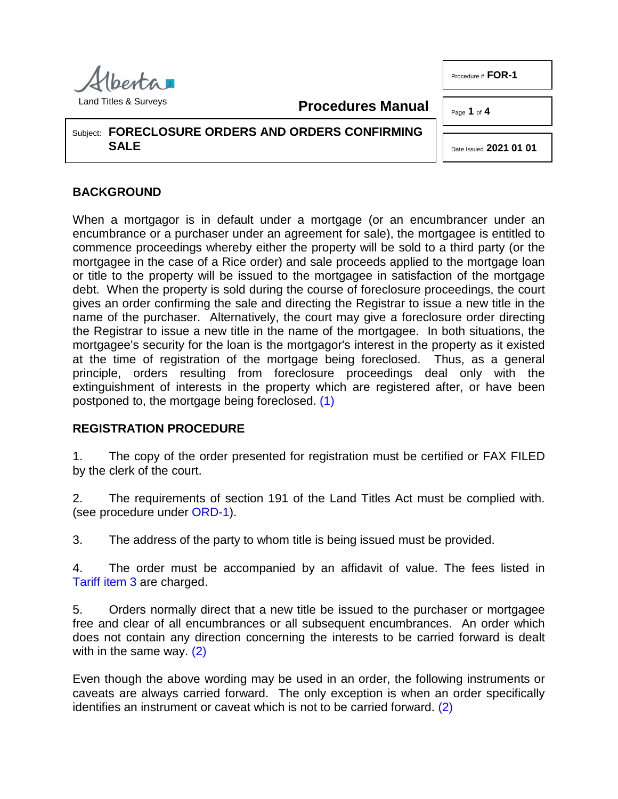

Land Titles & Surveys

**Procedures Manual**

Page **1** of **4** 

Subject: **FORECLOSURE ORDERS AND ORDERS CONFIRMING SALE**

## **BACKGROUND**

When a mortgagor is in default under a mortgage (or an encumbrancer under an encumbrance or a purchaser under an agreement for sale), the mortgagee is entitled to commence proceedings whereby either the property will be sold to a third party (or the mortgagee in the case of a Rice order) and sale proceeds applied to the mortgage loan or title to the property will be issued to the mortgagee in satisfaction of the mortgage debt. When the property is sold during the course of foreclosure proceedings, the court gives an order confirming the sale and directing the Registrar to issue a new title in the name of the purchaser. Alternatively, the court may give a foreclosure order directing the Registrar to issue a new title in the name of the mortgagee. In both situations, the mortgagee's security for the loan is the mortgagor's interest in the property as it existed at the time of registration of the mortgage being foreclosed. Thus, as a general principle, orders resulting from foreclosure proceedings deal only with the extinguishment of interests in the property which are registered after, or have been postponed to, the mortgage being foreclosed. [\(1\)](#page-3-0)

## <span id="page-0-0"></span>**REGISTRATION PROCEDURE**

1. The copy of the order presented for registration must be certified or FAX FILED by the clerk of the court.

2. The requirements of section 191 of the Land Titles Act must be complied with. (see procedure under [ORD-1\)](http://www.servicealberta.ca/pdf/ltmanual/ORD-1.pdf).

3. The address of the party to whom title is being issued must be provided.

4. The order must be accompanied by an affidavit of value. The fees listed in [Tariff item 3](http://www.servicealberta.ca/pdf/ltmanual/APPENDIXI.pdf) are charged.

5. Orders normally direct that a new title be issued to the purchaser or mortgagee free and clear of all encumbrances or all subsequent encumbrances. An order which does not contain any direction concerning the interests to be carried forward is dealt with in the same way. [\(2\)](#page-3-1)

<span id="page-0-1"></span>Even though the above wording may be used in an order, the following instruments or caveats are always carried forward. The only exception is when an order specifically identifies an instrument or caveat which is not to be carried forward. [\(2\)](#page-3-1)

Date Issued **2021 01 01**

Procedure # **FOR-1**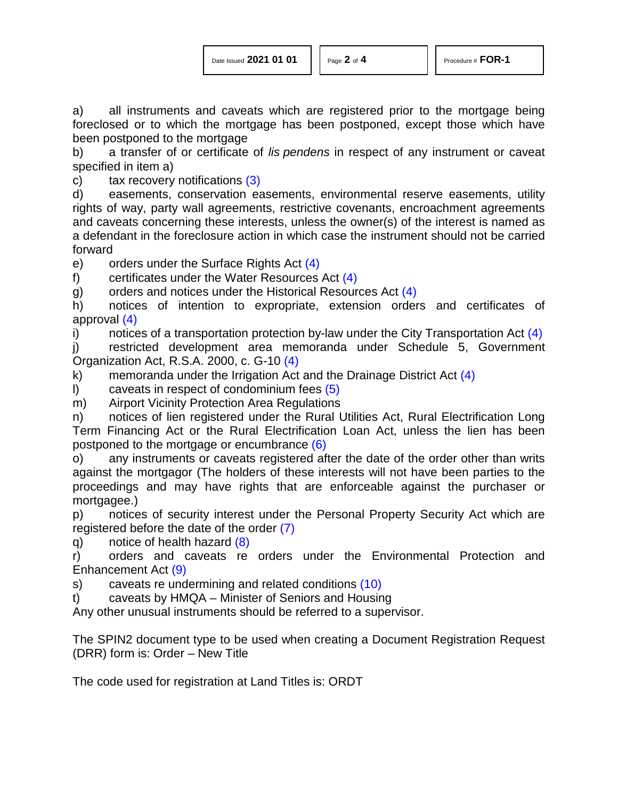a) all instruments and caveats which are registered prior to the mortgage being foreclosed or to which the mortgage has been postponed, except those which have been postponed to the mortgage

b) a transfer of or certificate of *lis pendens* in respect of any instrument or caveat specified in item a)

<span id="page-1-0"></span>c) tax recovery notifications [\(3\)](#page-3-2)

d) easements, conservation easements, environmental reserve easements, utility rights of way, party wall agreements, restrictive covenants, encroachment agreements and caveats concerning these interests, unless the owner(s) of the interest is named as a defendant in the foreclosure action in which case the instrument should not be carried forward

<span id="page-1-1"></span>e) orders under the Surface Rights Act [\(4\)](#page-3-3)

f) certificates under the Water Resources Act [\(4\)](#page-3-3)

g) orders and notices under the Historical Resources Act [\(4\)](#page-3-3)

h) notices of intention to expropriate, extension orders and certificates of approval [\(4\)](#page-3-3)

i) notices of a transportation protection by-law under the City Transportation Act  $(4)$ 

j) restricted development area memoranda under Schedule 5, Government Organization Act, R.S.A. 2000, c. G-10 [\(4\)](#page-3-3)

k) memoranda under the Irrigation Act and the Drainage District Act [\(4\)](#page-3-3)

<span id="page-1-2"></span>l) caveats in respect of condominium fees [\(5\)](#page-3-4)

m) Airport Vicinity Protection Area Regulations

n) notices of lien registered under the Rural Utilities Act, Rural Electrification Long Term Financing Act or the Rural Electrification Loan Act, unless the lien has been postponed to the mortgage or encumbrance [\(6\)](#page-3-5)

<span id="page-1-3"></span>o) any instruments or caveats registered after the date of the order other than writs against the mortgagor (The holders of these interests will not have been parties to the proceedings and may have rights that are enforceable against the purchaser or mortgagee.)

<span id="page-1-4"></span>p) notices of security interest under the Personal Property Security Act which are registered before the date of the order [\(7\)](#page-3-6)

<span id="page-1-5"></span>q) notice of health hazard [\(8\)](#page-3-7)

<span id="page-1-6"></span>r) orders and caveats re orders under the Environmental Protection and Enhancement Act [\(9\)](#page-3-8)

<span id="page-1-7"></span>s) caveats re undermining and related conditions [\(10\)](#page-3-9)

t) caveats by HMQA – Minister of Seniors and Housing

Any other unusual instruments should be referred to a supervisor.

The SPIN2 document type to be used when creating a Document Registration Request (DRR) form is: Order – New Title

The code used for registration at Land Titles is: ORDT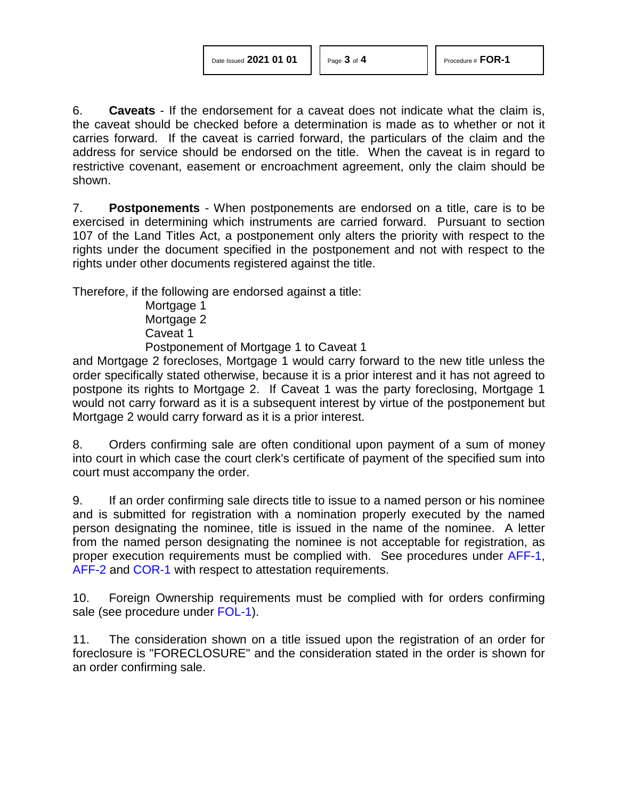6. **Caveats** - If the endorsement for a caveat does not indicate what the claim is, the caveat should be checked before a determination is made as to whether or not it carries forward. If the caveat is carried forward, the particulars of the claim and the address for service should be endorsed on the title. When the caveat is in regard to restrictive covenant, easement or encroachment agreement, only the claim should be shown.

7. **Postponements** - When postponements are endorsed on a title, care is to be exercised in determining which instruments are carried forward. Pursuant to section 107 of the Land Titles Act, a postponement only alters the priority with respect to the rights under the document specified in the postponement and not with respect to the rights under other documents registered against the title.

Therefore, if the following are endorsed against a title:

Mortgage 1 Mortgage 2 Caveat 1

Postponement of Mortgage 1 to Caveat 1

and Mortgage 2 forecloses, Mortgage 1 would carry forward to the new title unless the order specifically stated otherwise, because it is a prior interest and it has not agreed to postpone its rights to Mortgage 2. If Caveat 1 was the party foreclosing, Mortgage 1 would not carry forward as it is a subsequent interest by virtue of the postponement but Mortgage 2 would carry forward as it is a prior interest.

8. Orders confirming sale are often conditional upon payment of a sum of money into court in which case the court clerk's certificate of payment of the specified sum into court must accompany the order.

9. If an order confirming sale directs title to issue to a named person or his nominee and is submitted for registration with a nomination properly executed by the named person designating the nominee, title is issued in the name of the nominee. A letter from the named person designating the nominee is not acceptable for registration, as proper execution requirements must be complied with. See procedures under [AFF-1,](http://www.servicealberta.ca/pdf/ltmanual/AFF-1.pdf) [AFF-2](http://www.servicealberta.ca/pdf/ltmanual/AFF-2.pdf) and [COR-1](http://www.servicealberta.ca/pdf/ltmanual/COR-1.pdf) with respect to attestation requirements.

10. Foreign Ownership requirements must be complied with for orders confirming sale (see procedure under [FOL-1\)](http://www.servicealberta.ca/pdf/ltmanual/FOL-1.pdf).

11. The consideration shown on a title issued upon the registration of an order for foreclosure is "FORECLOSURE" and the consideration stated in the order is shown for an order confirming sale.